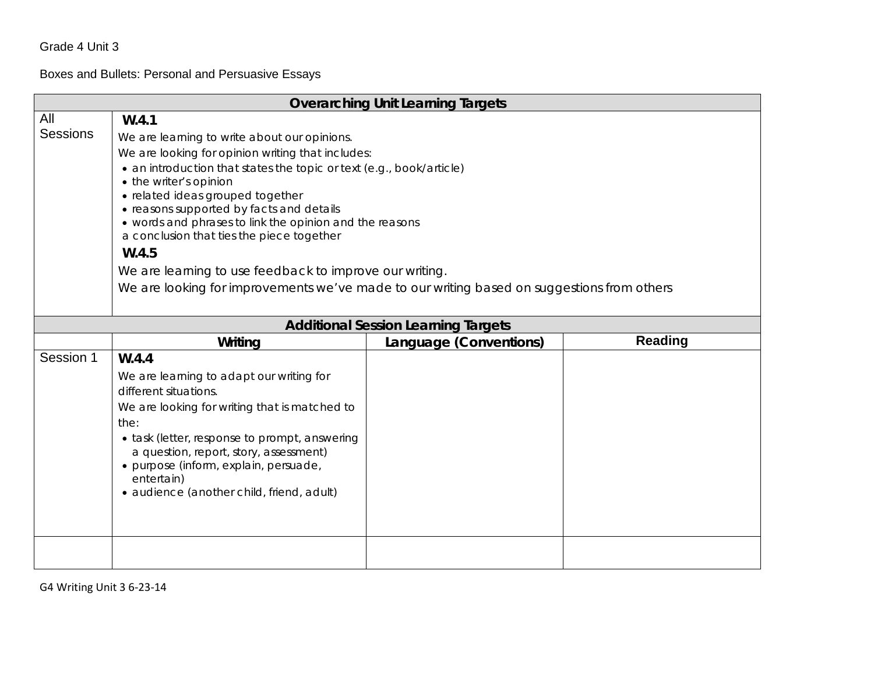# Boxes and Bullets: Personal and Persuasive Essays

|                        | <b>Overarching Unit Learning Targets</b>                                                                                                                                                                                                                                                                                                                                                                                                                                 |                                            |  |  |
|------------------------|--------------------------------------------------------------------------------------------------------------------------------------------------------------------------------------------------------------------------------------------------------------------------------------------------------------------------------------------------------------------------------------------------------------------------------------------------------------------------|--------------------------------------------|--|--|
| All<br><b>Sessions</b> | W.4.1<br>We are learning to write about our opinions.<br>We are looking for opinion writing that includes:<br>• an introduction that states the topic or text (e.g., book/article)<br>• the writer's opinion<br>· related ideas grouped together<br>• reasons supported by facts and details<br>• words and phrases to link the opinion and the reasons<br>a conclusion that ties the piece together<br>W.4.5<br>We are learning to use feedback to improve our writing. |                                            |  |  |
|                        | We are looking for improvements we've made to our writing based on suggestions from others                                                                                                                                                                                                                                                                                                                                                                               |                                            |  |  |
|                        |                                                                                                                                                                                                                                                                                                                                                                                                                                                                          | <b>Additional Session Learning Targets</b> |  |  |
|                        | <b>Reading</b><br>Writing<br>Language (Conventions)                                                                                                                                                                                                                                                                                                                                                                                                                      |                                            |  |  |
| Session 1              | W.4.4<br>We are learning to adapt our writing for<br>different situations.<br>We are looking for writing that is matched to<br>the:<br>• task (letter, response to prompt, answering<br>a question, report, story, assessment)<br>· purpose (inform, explain, persuade,<br>entertain)<br>· audience (another child, friend, adult)                                                                                                                                       |                                            |  |  |
|                        |                                                                                                                                                                                                                                                                                                                                                                                                                                                                          |                                            |  |  |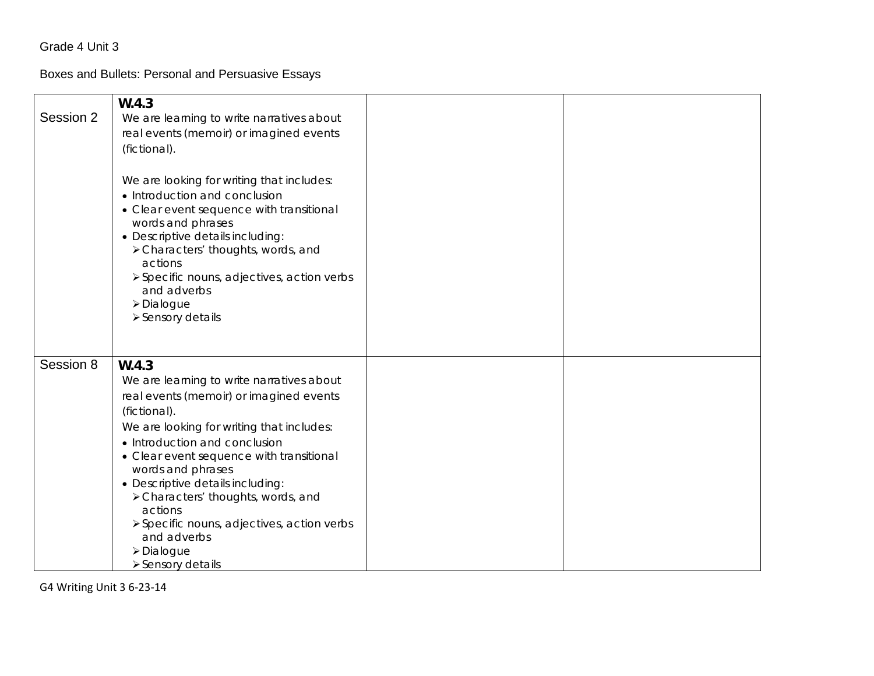# Boxes and Bullets: Personal and Persuasive Essays

| Session 2 | W.4.3<br>We are learning to write narratives about<br>real events (memoir) or imagined events<br>(fictional).<br>We are looking for writing that includes:<br>• Introduction and conclusion<br>• Clear event sequence with transitional<br>words and phrases<br>• Descriptive details including:                                                                                                                                                 |  |
|-----------|--------------------------------------------------------------------------------------------------------------------------------------------------------------------------------------------------------------------------------------------------------------------------------------------------------------------------------------------------------------------------------------------------------------------------------------------------|--|
|           | > Characters' thoughts, words, and<br>actions<br>> Specific nouns, adjectives, action verbs<br>and adverbs<br>>Dialogue<br>> Sensory details                                                                                                                                                                                                                                                                                                     |  |
| Session 8 | W.4.3<br>We are learning to write narratives about<br>real events (memoir) or imagined events<br>(fictional).<br>We are looking for writing that includes:<br>• Introduction and conclusion<br>• Clear event sequence with transitional<br>words and phrases<br>• Descriptive details including:<br>> Characters' thoughts, words, and<br>actions<br>> Specific nouns, adjectives, action verbs<br>and adverbs<br>>Dialogue<br>> Sensory details |  |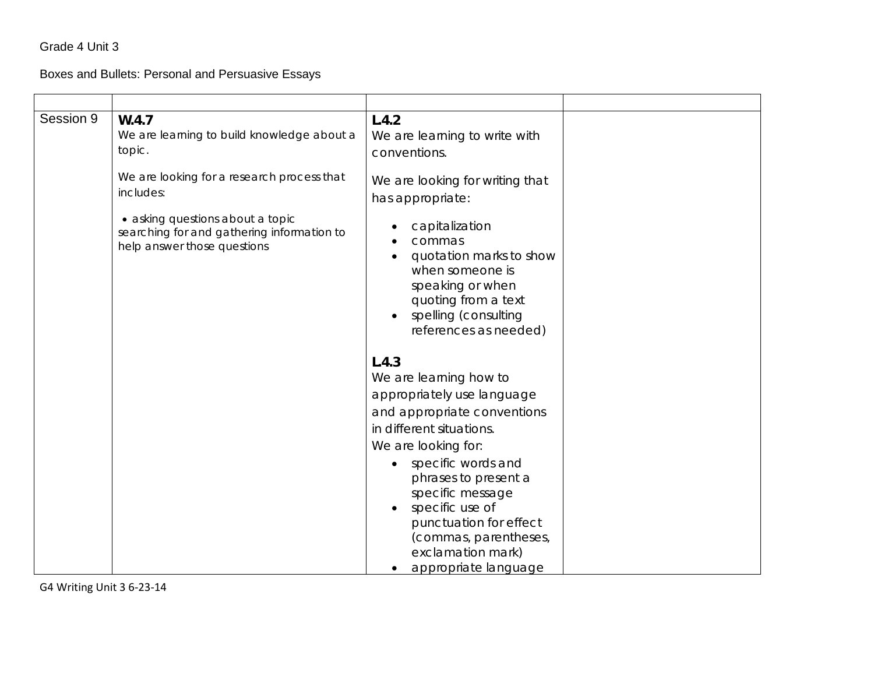Boxes and Bullets: Personal and Persuasive Essays

| Session 9 | W.4.7<br>We are learning to build knowledge about a<br>topic.<br>We are looking for a research process that<br>includes:<br>• asking questions about a topic<br>searching for and gathering information to<br>help answer those questions | L.4.2<br>We are learning to write with<br>conventions.<br>We are looking for writing that<br>has appropriate:<br>capitalization<br>commas<br>quotation marks to show<br>when someone is<br>speaking or when |
|-----------|-------------------------------------------------------------------------------------------------------------------------------------------------------------------------------------------------------------------------------------------|-------------------------------------------------------------------------------------------------------------------------------------------------------------------------------------------------------------|
|           |                                                                                                                                                                                                                                           | quoting from a text<br>spelling (consulting<br>references as needed)<br>L.4.3<br>We are learning how to<br>appropriately use language<br>and appropriate conventions<br>in different situations.            |
|           |                                                                                                                                                                                                                                           | We are looking for:<br>specific words and<br>phrases to present a<br>specific message<br>specific use of<br>punctuation for effect<br>(commas, parentheses,<br>exclamation mark)<br>appropriate language    |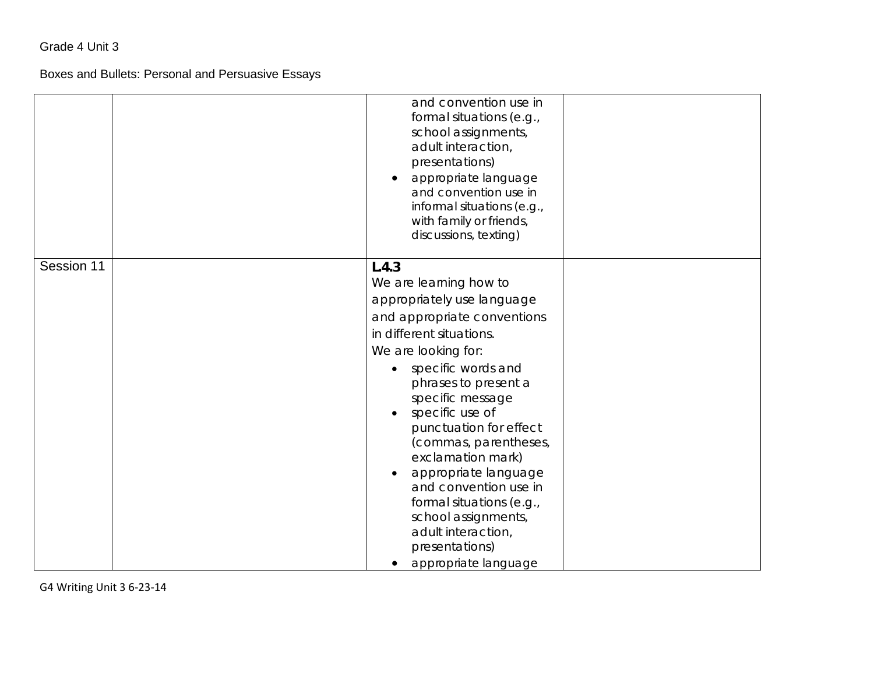# Boxes and Bullets: Personal and Persuasive Essays

|            | and convention use in<br>formal situations (e.g.,<br>school assignments,<br>adult interaction,<br>presentations)<br>appropriate language<br>and convention use in<br>informal situations (e.g.,<br>with family or friends,<br>discussions, texting)                                                                                                                                                                                                                              |
|------------|----------------------------------------------------------------------------------------------------------------------------------------------------------------------------------------------------------------------------------------------------------------------------------------------------------------------------------------------------------------------------------------------------------------------------------------------------------------------------------|
| Session 11 | L.4.3<br>We are learning how to<br>appropriately use language<br>and appropriate conventions<br>in different situations.<br>We are looking for:<br>specific words and<br>phrases to present a<br>specific message<br>specific use of<br>punctuation for effect<br>(commas, parentheses,<br>exclamation mark)<br>appropriate language<br>and convention use in<br>formal situations (e.g.,<br>school assignments,<br>adult interaction,<br>presentations)<br>appropriate language |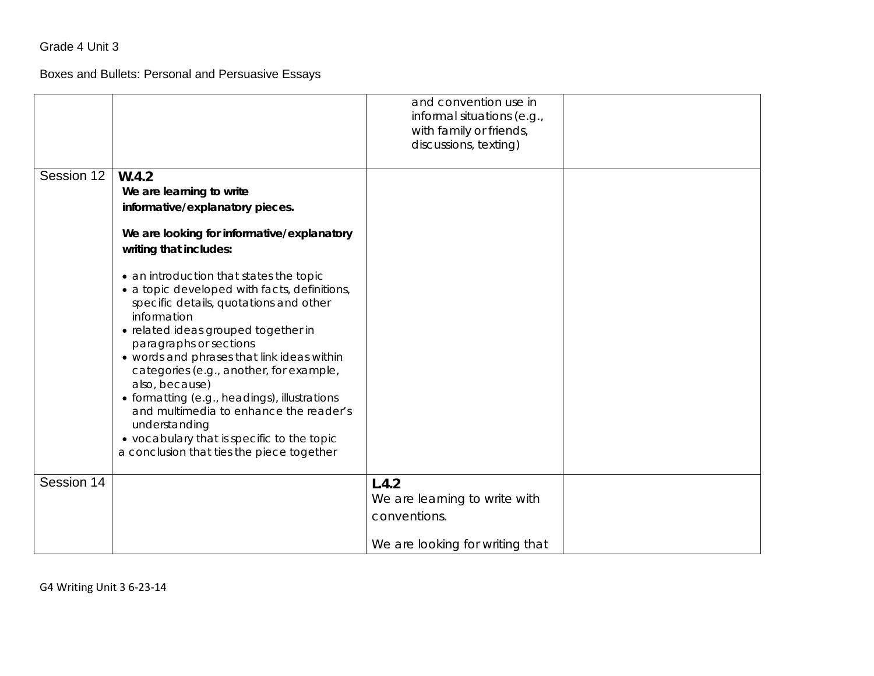Boxes and Bullets: Personal and Persuasive Essays

|            |                                                                                                                                                                                                                                                                                                                                                                                                                                                                                                                                    | and convention use in<br>informal situations (e.g.,<br>with family or friends,<br>discussions, texting) |  |
|------------|------------------------------------------------------------------------------------------------------------------------------------------------------------------------------------------------------------------------------------------------------------------------------------------------------------------------------------------------------------------------------------------------------------------------------------------------------------------------------------------------------------------------------------|---------------------------------------------------------------------------------------------------------|--|
| Session 12 | W.4.2<br>We are learning to write<br>informative/explanatory pieces.                                                                                                                                                                                                                                                                                                                                                                                                                                                               |                                                                                                         |  |
|            | We are looking for informative/explanatory<br>writing that includes:                                                                                                                                                                                                                                                                                                                                                                                                                                                               |                                                                                                         |  |
|            | • an introduction that states the topic<br>· a topic developed with facts, definitions,<br>specific details, quotations and other<br>information<br>· related ideas grouped together in<br>paragraphs or sections<br>• words and phrases that link ideas within<br>categories (e.g., another, for example,<br>also, because)<br>· formatting (e.g., headings), illustrations<br>and multimedia to enhance the reader's<br>understanding<br>• vocabulary that is specific to the topic<br>a conclusion that ties the piece together |                                                                                                         |  |
| Session 14 |                                                                                                                                                                                                                                                                                                                                                                                                                                                                                                                                    | L.4.2<br>We are learning to write with                                                                  |  |
|            |                                                                                                                                                                                                                                                                                                                                                                                                                                                                                                                                    | conventions.                                                                                            |  |
|            |                                                                                                                                                                                                                                                                                                                                                                                                                                                                                                                                    | We are looking for writing that                                                                         |  |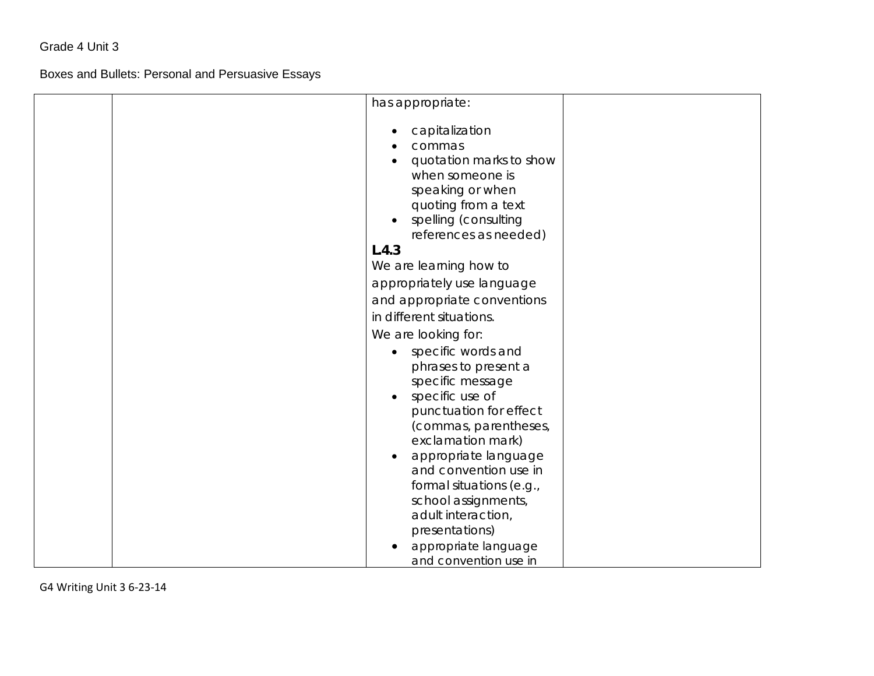Boxes and Bullets: Personal and Persuasive Essays

| has appropriate:            |
|-----------------------------|
|                             |
| capitalization              |
| commas                      |
| quotation marks to show     |
| when someone is             |
| speaking or when            |
| quoting from a text         |
| spelling (consulting        |
| references as needed)       |
| L.4.3                       |
| We are learning how to      |
| appropriately use language  |
| and appropriate conventions |
| in different situations.    |
| We are looking for:         |
| specific words and          |
| phrases to present a        |
| specific message            |
| specific use of             |
| punctuation for effect      |
| (commas, parentheses,       |
| exclamation mark)           |
| appropriate language        |
| and convention use in       |
| formal situations (e.g.,    |
| school assignments,         |
| adult interaction,          |
| presentations)              |
| appropriate language        |
| and convention use in       |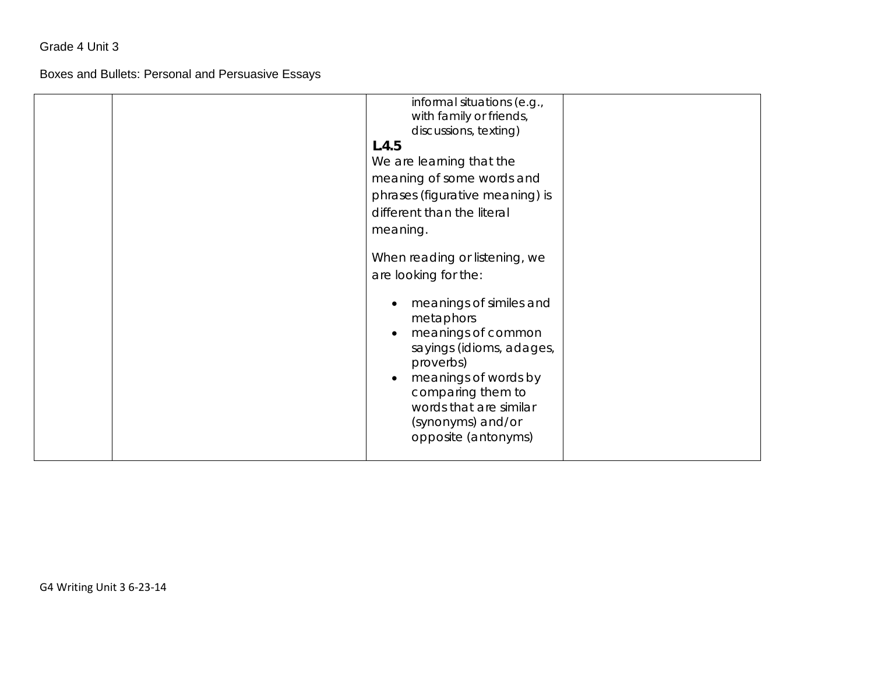Boxes and Bullets: Personal and Persuasive Essays

| informal situations (e.g.,               |  |
|------------------------------------------|--|
| with family or friends,                  |  |
| discussions, texting)                    |  |
| L.4.5                                    |  |
| We are learning that the                 |  |
| meaning of some words and                |  |
| phrases (figurative meaning) is          |  |
| different than the literal               |  |
| meaning.                                 |  |
|                                          |  |
| When reading or listening, we            |  |
| are looking for the:                     |  |
|                                          |  |
| meanings of similes and                  |  |
| metaphors                                |  |
| meanings of common                       |  |
|                                          |  |
| sayings (idioms, adages,                 |  |
| proverbs)                                |  |
| meanings of words by                     |  |
| comparing them to                        |  |
| words that are similar                   |  |
|                                          |  |
|                                          |  |
|                                          |  |
| (synonyms) and/or<br>opposite (antonyms) |  |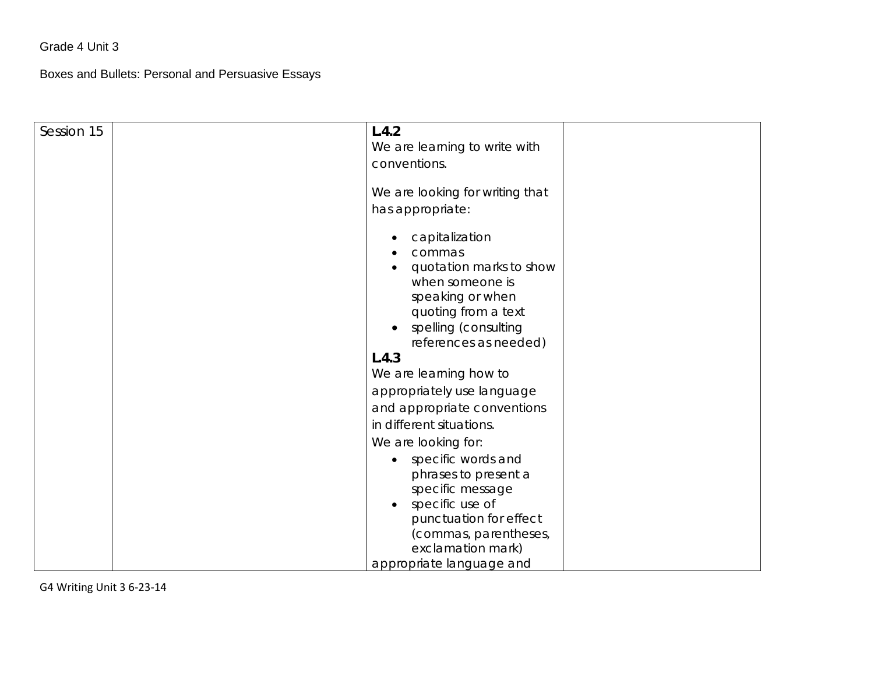Boxes and Bullets: Personal and Persuasive Essays

| Session 15 | L.4.2<br>We are learning to write with<br>conventions.                                                                                                             |
|------------|--------------------------------------------------------------------------------------------------------------------------------------------------------------------|
|            | We are looking for writing that<br>has appropriate:                                                                                                                |
|            | capitalization<br>commas<br>quotation marks to show<br>when someone is<br>speaking or when<br>quoting from a text<br>spelling (consulting<br>references as needed) |
|            | L.4.3                                                                                                                                                              |
|            | We are learning how to                                                                                                                                             |
|            | appropriately use language                                                                                                                                         |
|            | and appropriate conventions                                                                                                                                        |
|            | in different situations.                                                                                                                                           |
|            | We are looking for:                                                                                                                                                |
|            | specific words and<br>phrases to present a<br>specific message<br>specific use of<br>$\bullet$<br>punctuation for effect<br>(commas, parentheses,                  |
|            | exclamation mark)<br>appropriate language and                                                                                                                      |
|            |                                                                                                                                                                    |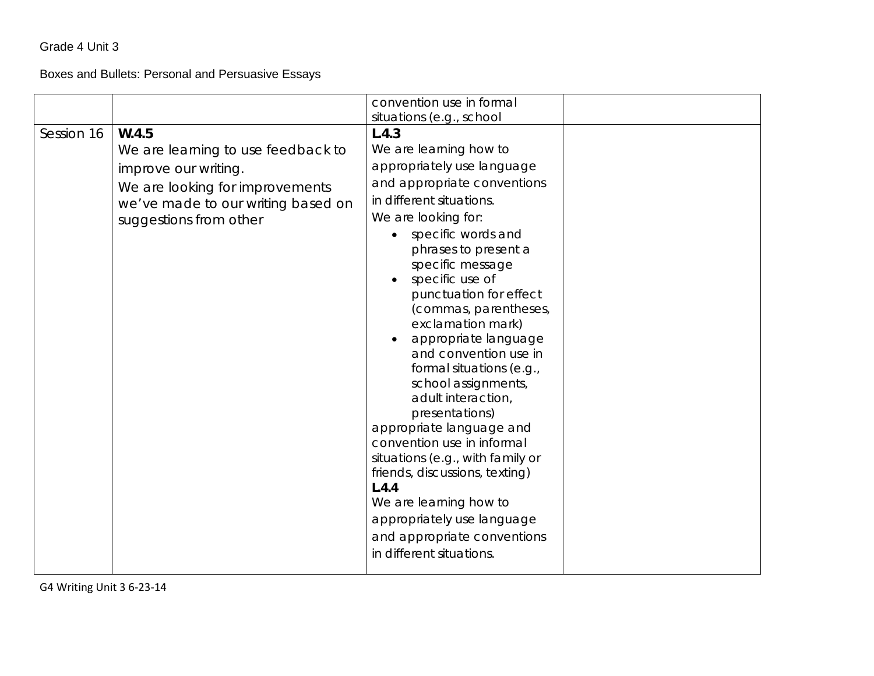# Boxes and Bullets: Personal and Persuasive Essays

|            |                                                                                                                                                                        | convention use in formal<br>situations (e.g., school                                                                                                                                                                                                                                                                                                                                                                                                                                                                                                                                                                                                                                                                 |  |
|------------|------------------------------------------------------------------------------------------------------------------------------------------------------------------------|----------------------------------------------------------------------------------------------------------------------------------------------------------------------------------------------------------------------------------------------------------------------------------------------------------------------------------------------------------------------------------------------------------------------------------------------------------------------------------------------------------------------------------------------------------------------------------------------------------------------------------------------------------------------------------------------------------------------|--|
| Session 16 | W.4.5<br>We are learning to use feedback to<br>improve our writing.<br>We are looking for improvements<br>we've made to our writing based on<br>suggestions from other | L.4.3<br>We are learning how to<br>appropriately use language<br>and appropriate conventions<br>in different situations.<br>We are looking for:<br>specific words and<br>phrases to present a<br>specific message<br>specific use of<br>punctuation for effect<br>(commas, parentheses,<br>exclamation mark)<br>appropriate language<br>and convention use in<br>formal situations (e.g.,<br>school assignments,<br>adult interaction,<br>presentations)<br>appropriate language and<br>convention use in informal<br>situations (e.g., with family or<br>friends, discussions, texting)<br>L.4.4<br>We are learning how to<br>appropriately use language<br>and appropriate conventions<br>in different situations. |  |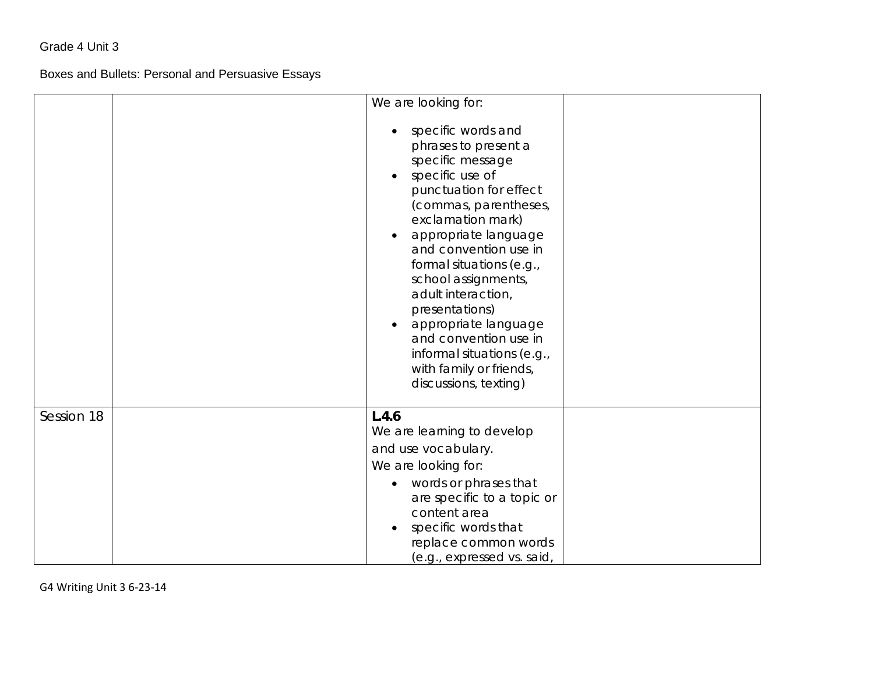Boxes and Bullets: Personal and Persuasive Essays

|            | We are looking for:<br>specific words and<br>phrases to present a<br>specific message<br>specific use of<br>$\bullet$<br>punctuation for effect<br>(commas, parentheses,<br>exclamation mark)<br>appropriate language<br>and convention use in<br>formal situations (e.g.,<br>school assignments,<br>adult interaction, |
|------------|-------------------------------------------------------------------------------------------------------------------------------------------------------------------------------------------------------------------------------------------------------------------------------------------------------------------------|
|            | presentations)<br>appropriate language<br>and convention use in<br>informal situations (e.g.,<br>with family or friends,<br>discussions, texting)                                                                                                                                                                       |
| Session 18 | L.4.6<br>We are learning to develop<br>and use vocabulary.<br>We are looking for:<br>words or phrases that<br>$\bullet$<br>are specific to a topic or<br>content area<br>specific words that<br>replace common words<br>(e.g., expressed vs. said,                                                                      |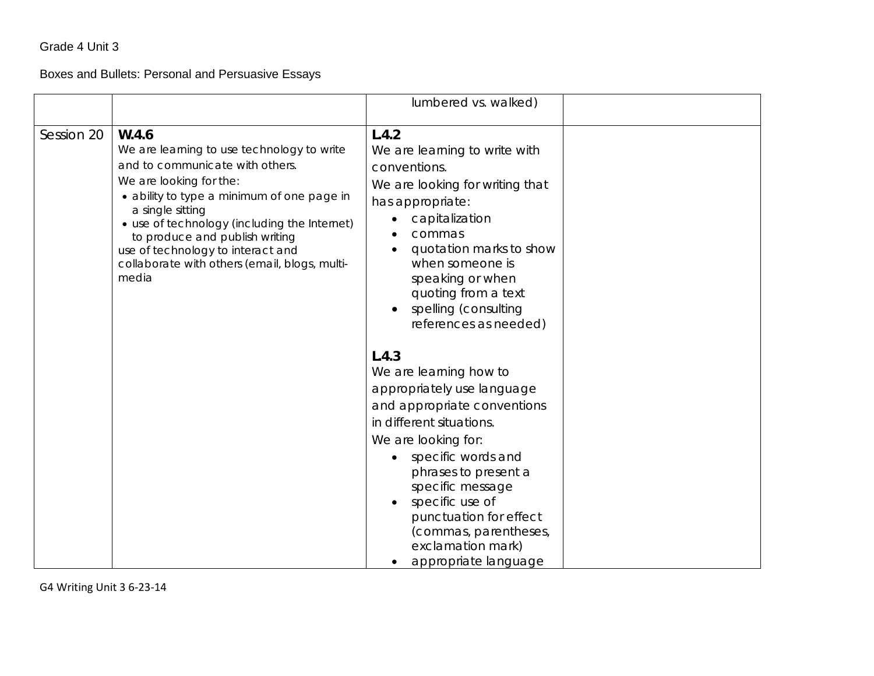# Boxes and Bullets: Personal and Persuasive Essays

|            |                                                                                                                                                                                                                                                                                                                                                                      | lumbered vs. walked)                                                                                                                                                                                                                                                                                                                                                                                                                                                                 |  |
|------------|----------------------------------------------------------------------------------------------------------------------------------------------------------------------------------------------------------------------------------------------------------------------------------------------------------------------------------------------------------------------|--------------------------------------------------------------------------------------------------------------------------------------------------------------------------------------------------------------------------------------------------------------------------------------------------------------------------------------------------------------------------------------------------------------------------------------------------------------------------------------|--|
| Session 20 | W.4.6<br>We are learning to use technology to write<br>and to communicate with others.<br>We are looking for the:<br>· ability to type a minimum of one page in<br>a single sitting<br>• use of technology (including the Internet)<br>to produce and publish writing<br>use of technology to interact and<br>collaborate with others (email, blogs, multi-<br>media | L.4.2<br>We are learning to write with<br>conventions.<br>We are looking for writing that<br>has appropriate:<br>capitalization<br>commas<br>quotation marks to show<br>when someone is<br>speaking or when<br>quoting from a text<br>spelling (consulting<br>references as needed)<br>L.4.3<br>We are learning how to<br>appropriately use language<br>and appropriate conventions<br>in different situations.<br>We are looking for:<br>specific words and<br>phrases to present a |  |
|            |                                                                                                                                                                                                                                                                                                                                                                      | specific message<br>specific use of<br>punctuation for effect<br>(commas, parentheses,<br>exclamation mark)<br>appropriate language                                                                                                                                                                                                                                                                                                                                                  |  |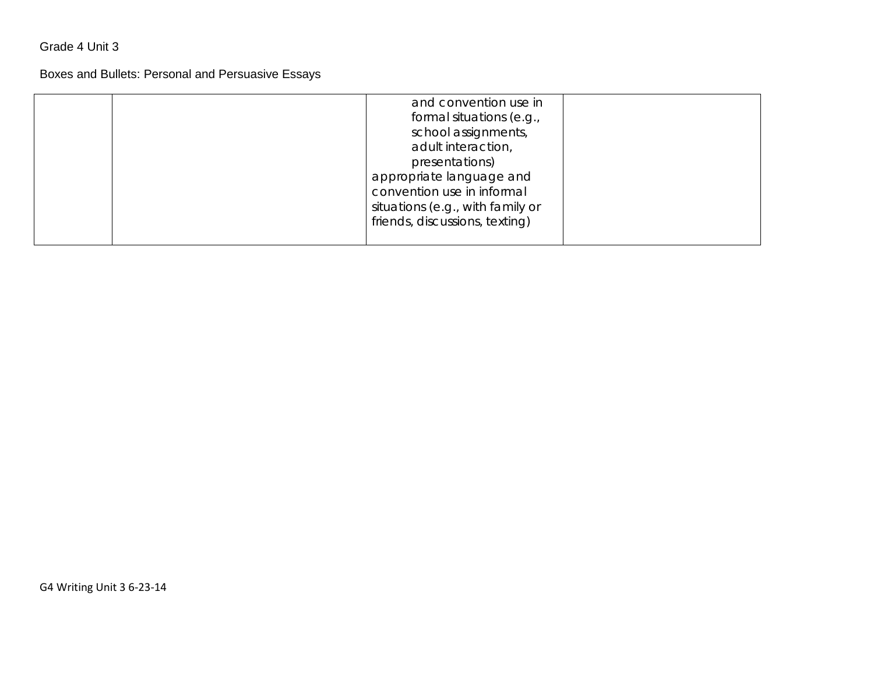# Boxes and Bullets: Personal and Persuasive Essays

|  | and convention use in<br>formal situations (e.g.,<br>school assignments,<br>adult interaction,<br>presentations)<br>appropriate language and<br>convention use in informal<br>situations (e.g., with family or<br>friends, discussions, texting) |  |
|--|--------------------------------------------------------------------------------------------------------------------------------------------------------------------------------------------------------------------------------------------------|--|
|--|--------------------------------------------------------------------------------------------------------------------------------------------------------------------------------------------------------------------------------------------------|--|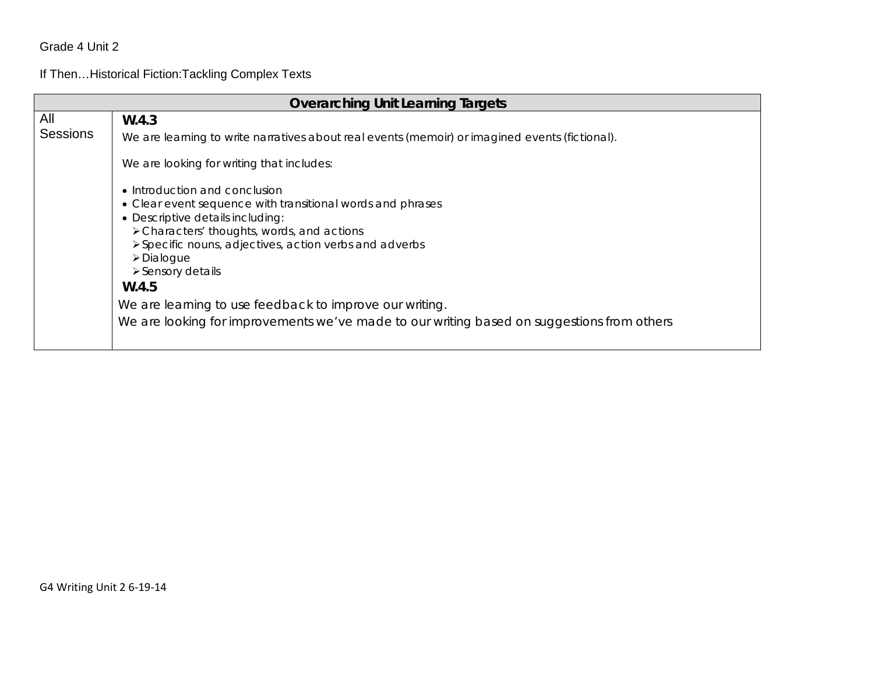If Then…Historical Fiction:Tackling Complex Texts

| <b>Overarching Unit Learning Targets</b> |                                                                                                                                                                                                                                                                                                                                                              |  |
|------------------------------------------|--------------------------------------------------------------------------------------------------------------------------------------------------------------------------------------------------------------------------------------------------------------------------------------------------------------------------------------------------------------|--|
| All                                      | W.4.3                                                                                                                                                                                                                                                                                                                                                        |  |
| <b>Sessions</b>                          | We are learning to write narratives about real events (memoir) or imagined events (fictional).                                                                                                                                                                                                                                                               |  |
|                                          | We are looking for writing that includes:                                                                                                                                                                                                                                                                                                                    |  |
|                                          | • Introduction and conclusion<br>• Clear event sequence with transitional words and phrases<br>• Descriptive details including:<br>> Characters' thoughts, words, and actions<br>≻ Specific nouns, adjectives, action verbs and adverbs<br>>Dialogue<br>$\triangleright$ Sensory details<br>W.4.5<br>We are learning to use feedback to improve our writing. |  |
|                                          | We are looking for improvements we've made to our writing based on suggestions from others                                                                                                                                                                                                                                                                   |  |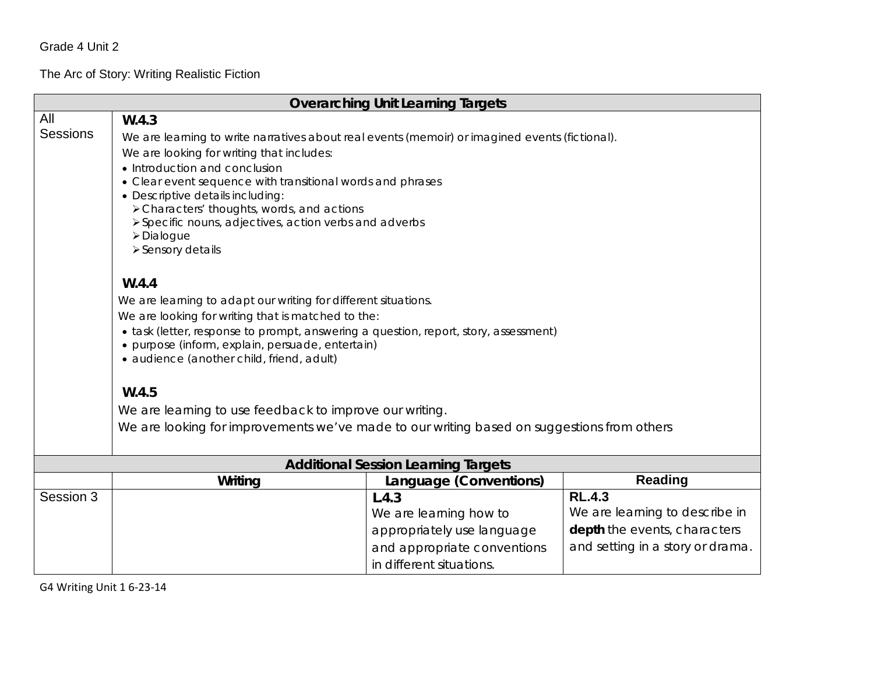The Arc of Story: Writing Realistic Fiction

| <b>Overarching Unit Learning Targets</b> |                                                                                                                                          |                                            |                                  |  |  |
|------------------------------------------|------------------------------------------------------------------------------------------------------------------------------------------|--------------------------------------------|----------------------------------|--|--|
| All                                      | W.4.3                                                                                                                                    |                                            |                                  |  |  |
| <b>Sessions</b>                          | We are learning to write narratives about real events (memoir) or imagined events (fictional).                                           |                                            |                                  |  |  |
|                                          | We are looking for writing that includes:                                                                                                |                                            |                                  |  |  |
|                                          | • Introduction and conclusion                                                                                                            |                                            |                                  |  |  |
|                                          | • Clear event sequence with transitional words and phrases                                                                               |                                            |                                  |  |  |
|                                          | • Descriptive details including:                                                                                                         |                                            |                                  |  |  |
|                                          | > Characters' thoughts, words, and actions                                                                                               |                                            |                                  |  |  |
|                                          | > Specific nouns, adjectives, action verbs and adverbs                                                                                   |                                            |                                  |  |  |
|                                          | >Dialogue<br>> Sensory details                                                                                                           |                                            |                                  |  |  |
|                                          |                                                                                                                                          |                                            |                                  |  |  |
|                                          | W.4.4                                                                                                                                    |                                            |                                  |  |  |
|                                          | We are learning to adapt our writing for different situations.                                                                           |                                            |                                  |  |  |
|                                          | We are looking for writing that is matched to the:                                                                                       |                                            |                                  |  |  |
|                                          |                                                                                                                                          |                                            |                                  |  |  |
|                                          | • task (letter, response to prompt, answering a question, report, story, assessment)<br>· purpose (inform, explain, persuade, entertain) |                                            |                                  |  |  |
|                                          | · audience (another child, friend, adult)                                                                                                |                                            |                                  |  |  |
|                                          |                                                                                                                                          |                                            |                                  |  |  |
|                                          | W.4.5                                                                                                                                    |                                            |                                  |  |  |
|                                          | We are learning to use feedback to improve our writing.                                                                                  |                                            |                                  |  |  |
|                                          | We are looking for improvements we've made to our writing based on suggestions from others                                               |                                            |                                  |  |  |
|                                          |                                                                                                                                          |                                            |                                  |  |  |
|                                          |                                                                                                                                          | <b>Additional Session Learning Targets</b> |                                  |  |  |
|                                          | <b>Reading</b><br>Writing<br>Language (Conventions)                                                                                      |                                            |                                  |  |  |
| Session 3                                |                                                                                                                                          | L.4.3                                      | <b>RL.4.3</b>                    |  |  |
|                                          |                                                                                                                                          | We are learning how to                     | We are learning to describe in   |  |  |
|                                          |                                                                                                                                          | appropriately use language                 | depth the events, characters     |  |  |
|                                          |                                                                                                                                          | and appropriate conventions                | and setting in a story or drama. |  |  |
|                                          |                                                                                                                                          | in different situations.                   |                                  |  |  |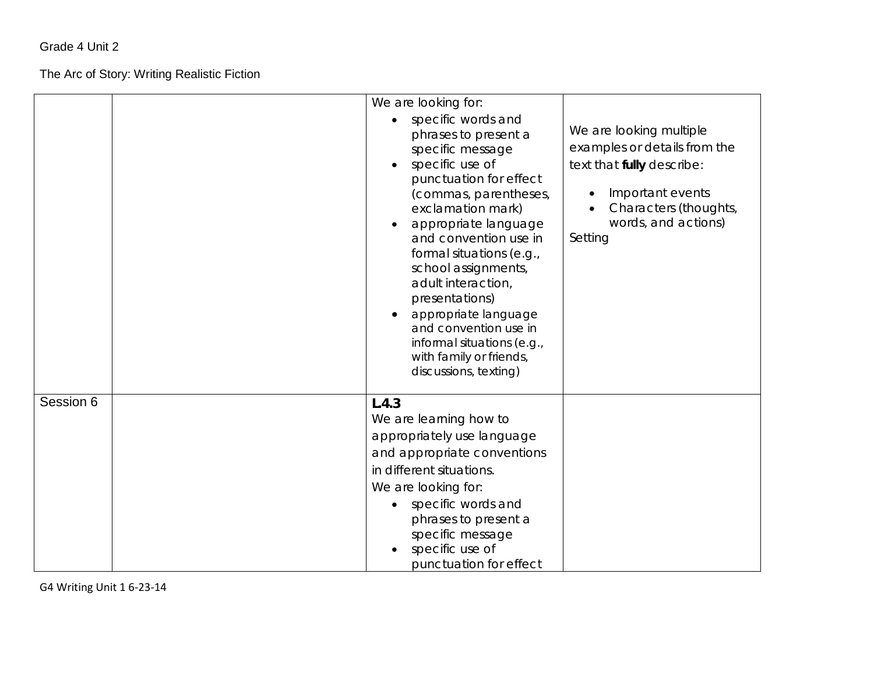#### The Arc of Story: Writing Realistic Fiction

|           | We are looking for:<br>specific words and<br>phrases to present a<br>specific message<br>specific use of<br>punctuation for effect<br>(commas, parentheses,<br>exclamation mark)<br>appropriate language<br>and convention use in<br>formal situations (e.g.,<br>school assignments,<br>adult interaction,<br>presentations)<br>appropriate language<br>and convention use in<br>informal situations (e.g., | We are looking multiple<br>examples or details from the<br>text that fully describe:<br>Important events<br>Characters (thoughts,<br>words, and actions)<br>Setting |
|-----------|-------------------------------------------------------------------------------------------------------------------------------------------------------------------------------------------------------------------------------------------------------------------------------------------------------------------------------------------------------------------------------------------------------------|---------------------------------------------------------------------------------------------------------------------------------------------------------------------|
| Session 6 | discussions, texting)<br>L.4.3<br>We are learning how to<br>appropriately use language<br>and appropriate conventions<br>in different situations.<br>We are looking for:<br>specific words and<br>phrases to present a<br>specific message<br>specific use of<br>punctuation for effect                                                                                                                     |                                                                                                                                                                     |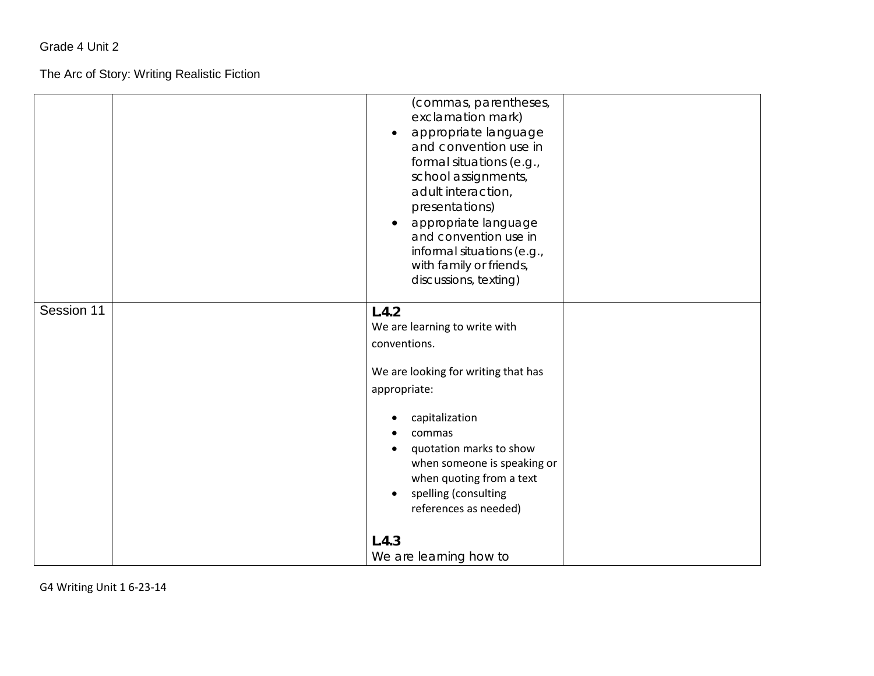#### The Arc of Story: Writing Realistic Fiction

|            | (commas, parentheses,<br>exclamation mark)<br>appropriate language<br>and convention use in<br>formal situations (e.g.,<br>school assignments,<br>adult interaction,<br>presentations)<br>appropriate language<br>and convention use in<br>informal situations (e.g.,<br>with family or friends,<br>discussions, texting)        |
|------------|----------------------------------------------------------------------------------------------------------------------------------------------------------------------------------------------------------------------------------------------------------------------------------------------------------------------------------|
| Session 11 | L.4.2<br>We are learning to write with<br>conventions.<br>We are looking for writing that has<br>appropriate:<br>capitalization<br>commas<br>quotation marks to show<br>when someone is speaking or<br>when quoting from a text<br>spelling (consulting<br>$\bullet$<br>references as needed)<br>L.4.3<br>We are learning how to |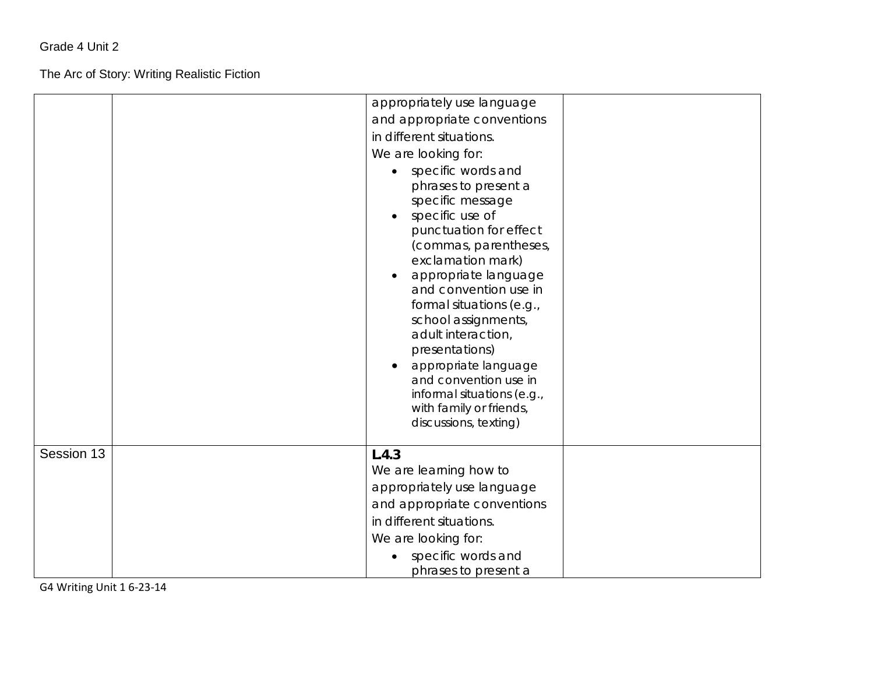The Arc of Story: Writing Realistic Fiction

|            | appropriately use language<br>and appropriate conventions<br>in different situations.<br>We are looking for:<br>specific words and<br>phrases to present a<br>specific message<br>specific use of<br>punctuation for effect<br>(commas, parentheses,<br>exclamation mark)<br>appropriate language<br>and convention use in<br>formal situations (e.g.,<br>school assignments,<br>adult interaction,<br>presentations)<br>appropriate language |
|------------|-----------------------------------------------------------------------------------------------------------------------------------------------------------------------------------------------------------------------------------------------------------------------------------------------------------------------------------------------------------------------------------------------------------------------------------------------|
|            | and convention use in<br>informal situations (e.g.,<br>with family or friends,<br>discussions, texting)                                                                                                                                                                                                                                                                                                                                       |
| Session 13 | L.4.3<br>We are learning how to<br>appropriately use language<br>and appropriate conventions<br>in different situations.<br>We are looking for:<br>specific words and<br>phrases to present a                                                                                                                                                                                                                                                 |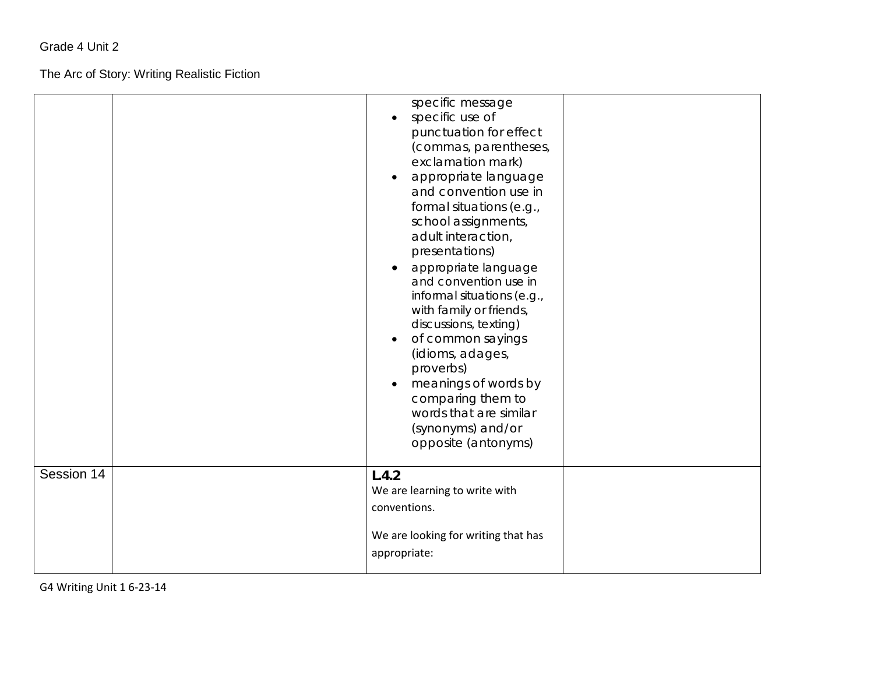The Arc of Story: Writing Realistic Fiction

|            | specific message<br>specific use of<br>punctuation for effect<br>(commas, parentheses,<br>exclamation mark)<br>appropriate language<br>$\bullet$<br>and convention use in<br>formal situations (e.g.,<br>school assignments,<br>adult interaction,<br>presentations)<br>appropriate language<br>and convention use in<br>informal situations (e.g.,<br>with family or friends,<br>discussions, texting)<br>of common sayings<br>(idioms, adages,<br>proverbs)<br>meanings of words by<br>comparing them to<br>words that are similar<br>(synonyms) and/or<br>opposite (antonyms) |  |
|------------|----------------------------------------------------------------------------------------------------------------------------------------------------------------------------------------------------------------------------------------------------------------------------------------------------------------------------------------------------------------------------------------------------------------------------------------------------------------------------------------------------------------------------------------------------------------------------------|--|
| Session 14 | L.4.2<br>We are learning to write with<br>conventions.<br>We are looking for writing that has<br>appropriate:                                                                                                                                                                                                                                                                                                                                                                                                                                                                    |  |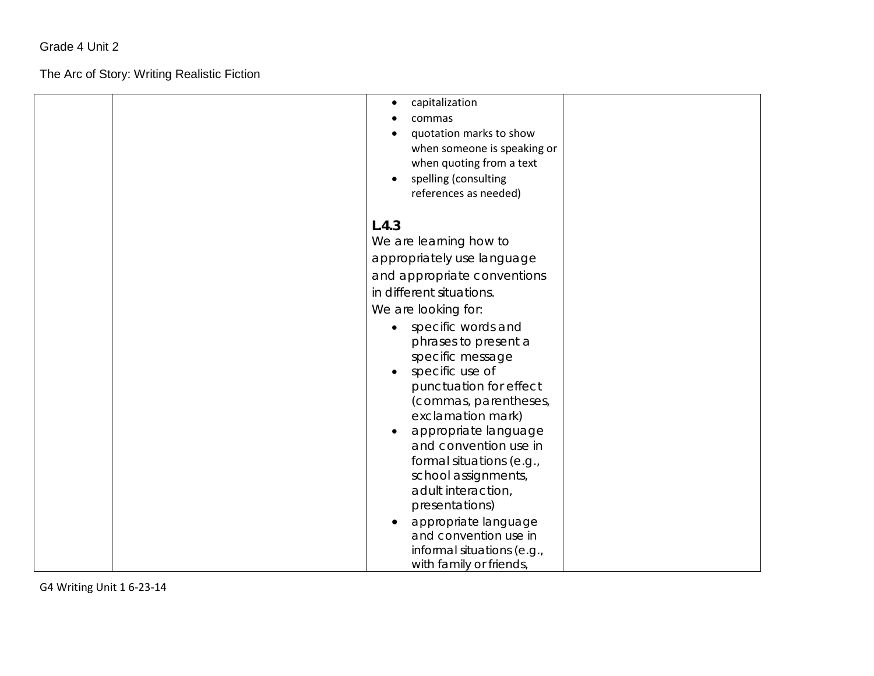The Arc of Story: Writing Realistic Fiction

| capitalization<br>$\bullet$<br>commas<br>quotation marks to show<br>when someone is speaking or<br>when quoting from a text<br>spelling (consulting<br>$\bullet$<br>references as needed)                                                                                                                                                                                                                                                                                                                                                                                                    |
|----------------------------------------------------------------------------------------------------------------------------------------------------------------------------------------------------------------------------------------------------------------------------------------------------------------------------------------------------------------------------------------------------------------------------------------------------------------------------------------------------------------------------------------------------------------------------------------------|
| L.4.3<br>We are learning how to<br>appropriately use language<br>and appropriate conventions<br>in different situations.<br>We are looking for:<br>specific words and<br>$\bullet$<br>phrases to present a<br>specific message<br>specific use of<br>$\bullet$<br>punctuation for effect<br>(commas, parentheses,<br>exclamation mark)<br>appropriate language<br>and convention use in<br>formal situations (e.g.,<br>school assignments,<br>adult interaction,<br>presentations)<br>appropriate language<br>and convention use in<br>informal situations (e.g.,<br>with family or friends, |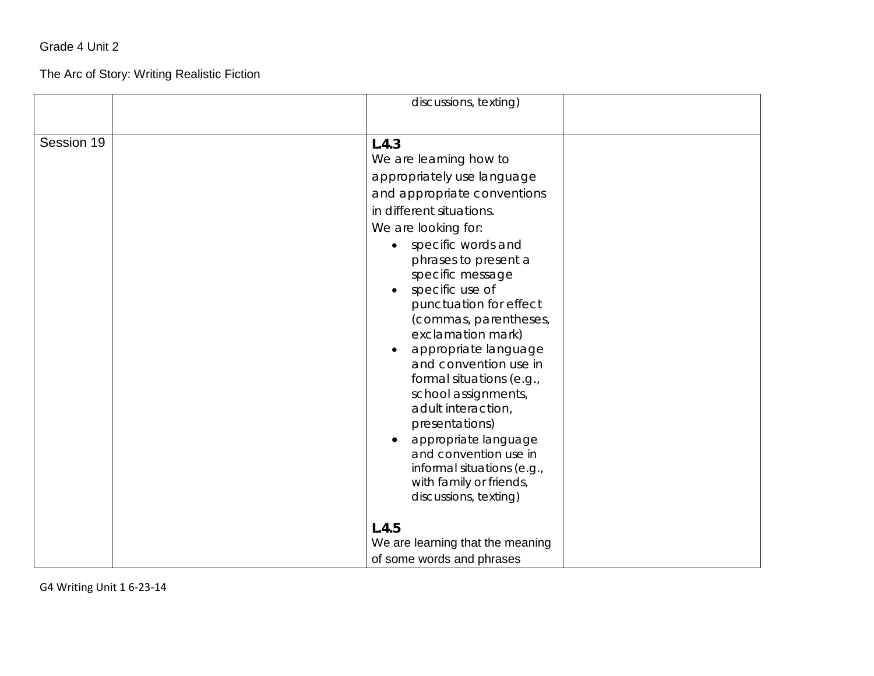#### The Arc of Story: Writing Realistic Fiction

|            | discussions, texting)                                                                                                                                                                                                                                                                                                                                                                                                                                                                                                                                                                                    |  |
|------------|----------------------------------------------------------------------------------------------------------------------------------------------------------------------------------------------------------------------------------------------------------------------------------------------------------------------------------------------------------------------------------------------------------------------------------------------------------------------------------------------------------------------------------------------------------------------------------------------------------|--|
|            |                                                                                                                                                                                                                                                                                                                                                                                                                                                                                                                                                                                                          |  |
| Session 19 | L.4.3<br>We are learning how to<br>appropriately use language<br>and appropriate conventions<br>in different situations.<br>We are looking for:<br>specific words and<br>$\bullet$<br>phrases to present a<br>specific message<br>specific use of<br>punctuation for effect<br>(commas, parentheses,<br>exclamation mark)<br>appropriate language<br>and convention use in<br>formal situations (e.g.,<br>school assignments,<br>adult interaction,<br>presentations)<br>appropriate language<br>and convention use in<br>informal situations (e.g.,<br>with family or friends,<br>discussions, texting) |  |
|            | L.4.5<br>We are learning that the meaning<br>of some words and phrases                                                                                                                                                                                                                                                                                                                                                                                                                                                                                                                                   |  |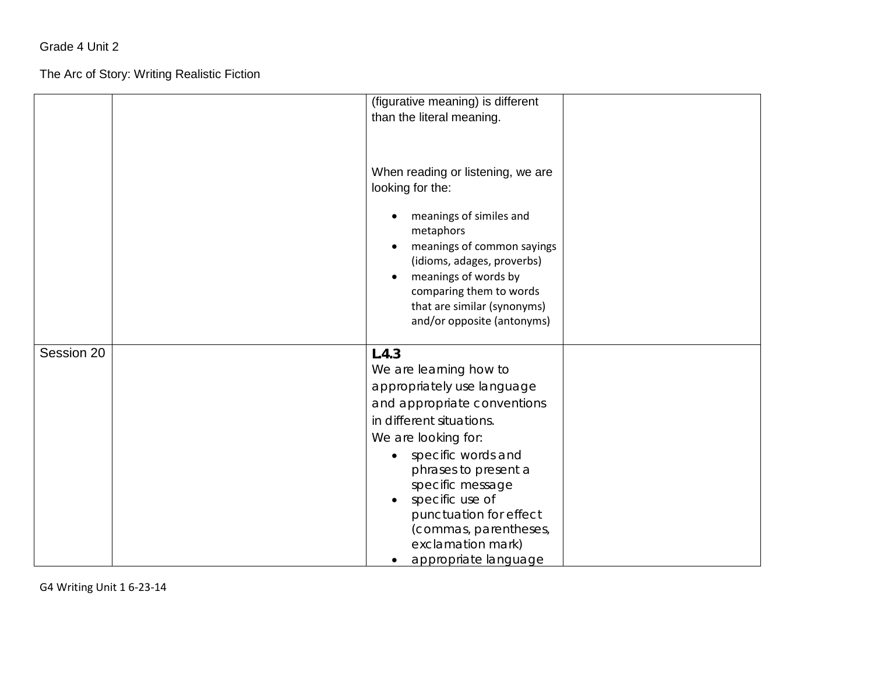The Arc of Story: Writing Realistic Fiction

|            | (figurative meaning) is different                     |
|------------|-------------------------------------------------------|
|            | than the literal meaning.                             |
|            | When reading or listening, we are<br>looking for the: |
|            | meanings of similes and<br>metaphors                  |
|            | meanings of common sayings                            |
|            | (idioms, adages, proverbs)<br>meanings of words by    |
|            | comparing them to words                               |
|            | that are similar (synonyms)                           |
|            | and/or opposite (antonyms)                            |
| Session 20 | L.4.3                                                 |
|            | We are learning how to                                |
|            | appropriately use language                            |
|            | and appropriate conventions                           |
|            | in different situations.                              |
|            | We are looking for:                                   |
|            | specific words and                                    |
|            | phrases to present a                                  |
|            | specific message<br>specific use of                   |
|            | punctuation for effect                                |
|            | (commas, parentheses,                                 |
|            | exclamation mark)                                     |
|            | appropriate language                                  |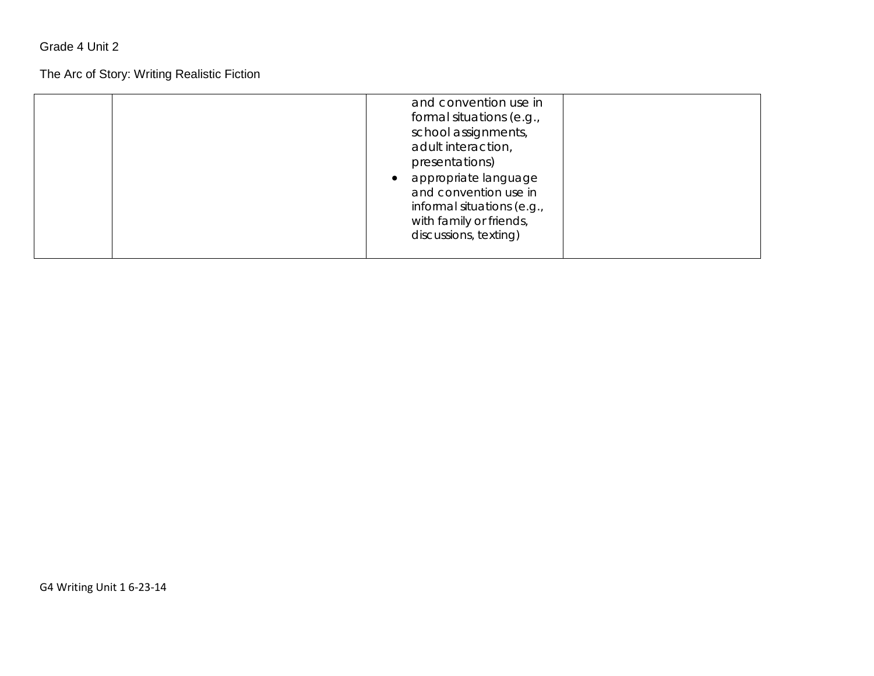#### The Arc of Story: Writing Realistic Fiction

| and convention use in<br>formal situations (e.g.,<br>school assignments,<br>adult interaction,<br>presentations)<br>appropriate language<br>and convention use in<br>informal situations (e.g.,<br>with family or friends,<br>discussions, texting) |  |
|-----------------------------------------------------------------------------------------------------------------------------------------------------------------------------------------------------------------------------------------------------|--|
|-----------------------------------------------------------------------------------------------------------------------------------------------------------------------------------------------------------------------------------------------------|--|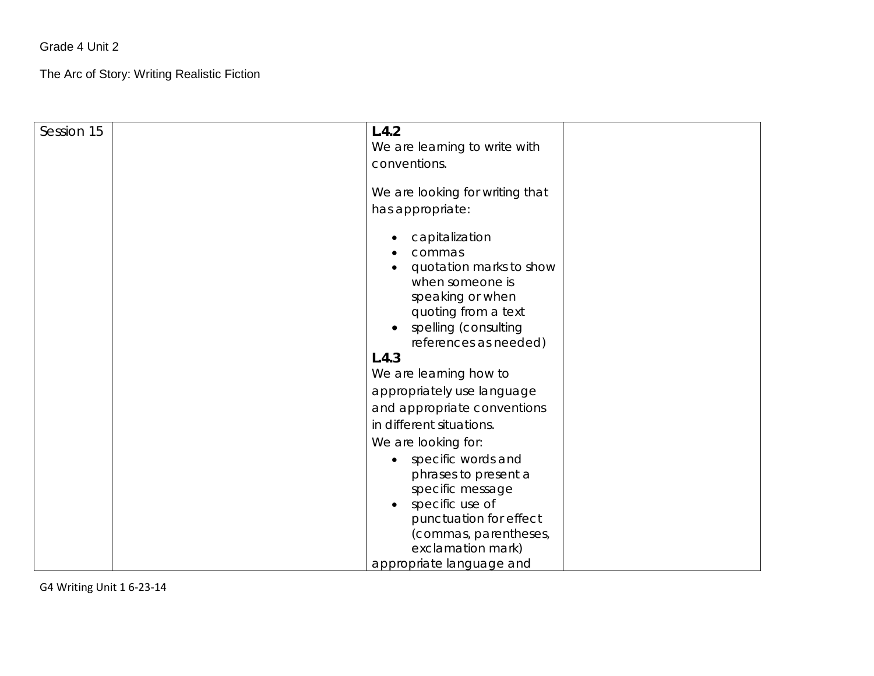The Arc of Story: Writing Realistic Fiction

| Session 15 | L.4.2<br>We are learning to write with<br>conventions.                                                                                                                          |
|------------|---------------------------------------------------------------------------------------------------------------------------------------------------------------------------------|
|            | We are looking for writing that<br>has appropriate:                                                                                                                             |
|            | capitalization<br>commas<br>quotation marks to show<br>when someone is<br>speaking or when<br>quoting from a text<br>spelling (consulting<br>$\bullet$<br>references as needed) |
|            | L.4.3                                                                                                                                                                           |
|            | We are learning how to                                                                                                                                                          |
|            | appropriately use language                                                                                                                                                      |
|            | and appropriate conventions                                                                                                                                                     |
|            | in different situations.                                                                                                                                                        |
|            | We are looking for:                                                                                                                                                             |
|            | specific words and<br>phrases to present a<br>specific message<br>specific use of<br>$\bullet$                                                                                  |
|            | punctuation for effect<br>(commas, parentheses,<br>exclamation mark)                                                                                                            |
|            | appropriate language and                                                                                                                                                        |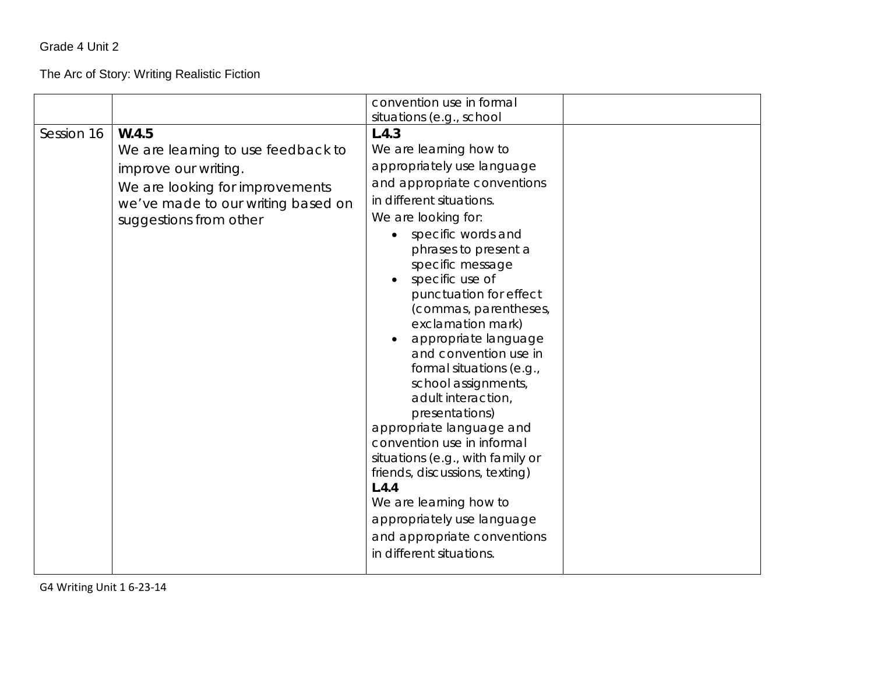#### The Arc of Story: Writing Realistic Fiction

|            |                                                                                                                                                                        | convention use in formal<br>situations (e.g., school                                                                                                                                                                                                                                                                                                                                                                                                                                                                                                                                                                                                                                                                 |  |
|------------|------------------------------------------------------------------------------------------------------------------------------------------------------------------------|----------------------------------------------------------------------------------------------------------------------------------------------------------------------------------------------------------------------------------------------------------------------------------------------------------------------------------------------------------------------------------------------------------------------------------------------------------------------------------------------------------------------------------------------------------------------------------------------------------------------------------------------------------------------------------------------------------------------|--|
| Session 16 | W.4.5<br>We are learning to use feedback to<br>improve our writing.<br>We are looking for improvements<br>we've made to our writing based on<br>suggestions from other | L.4.3<br>We are learning how to<br>appropriately use language<br>and appropriate conventions<br>in different situations.<br>We are looking for:<br>specific words and<br>phrases to present a<br>specific message<br>specific use of<br>punctuation for effect<br>(commas, parentheses,<br>exclamation mark)<br>appropriate language<br>and convention use in<br>formal situations (e.g.,<br>school assignments,<br>adult interaction,<br>presentations)<br>appropriate language and<br>convention use in informal<br>situations (e.g., with family or<br>friends, discussions, texting)<br>L.4.4<br>We are learning how to<br>appropriately use language<br>and appropriate conventions<br>in different situations. |  |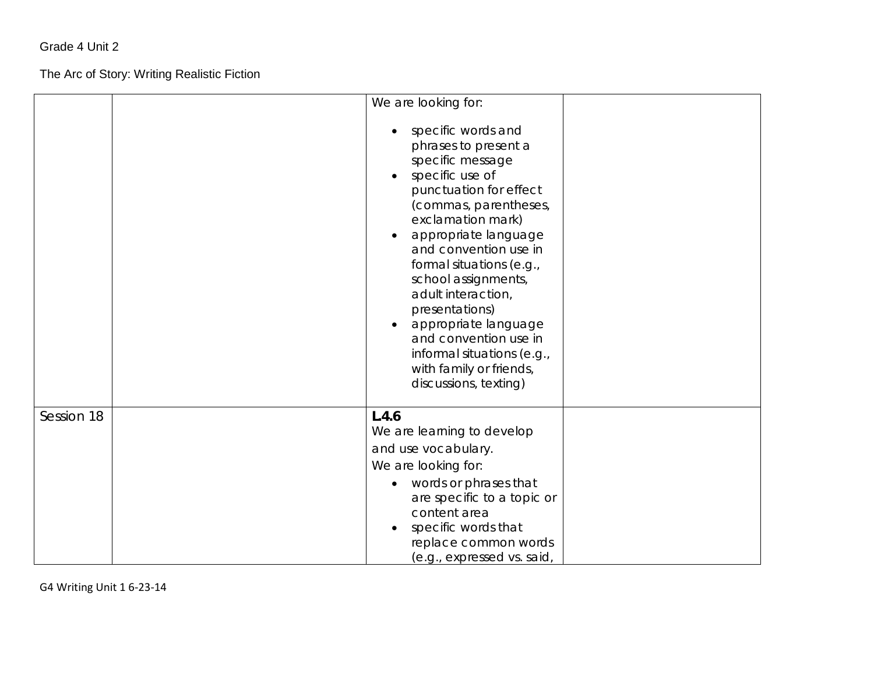The Arc of Story: Writing Realistic Fiction

|            | We are looking for:<br>specific words and<br>phrases to present a<br>specific message<br>specific use of<br>$\bullet$<br>punctuation for effect<br>(commas, parentheses,<br>exclamation mark)<br>appropriate language<br>and convention use in<br>formal situations (e.g.,<br>school assignments,<br>adult interaction,<br>presentations)<br>appropriate language<br>and convention use in<br>informal situations (e.g.,<br>with family or friends, |
|------------|-----------------------------------------------------------------------------------------------------------------------------------------------------------------------------------------------------------------------------------------------------------------------------------------------------------------------------------------------------------------------------------------------------------------------------------------------------|
|            | discussions, texting)                                                                                                                                                                                                                                                                                                                                                                                                                               |
| Session 18 | L.4.6<br>We are learning to develop<br>and use vocabulary.<br>We are looking for:<br>• words or phrases that<br>are specific to a topic or<br>content area<br>specific words that<br>replace common words<br>(e.g., expressed vs. said,                                                                                                                                                                                                             |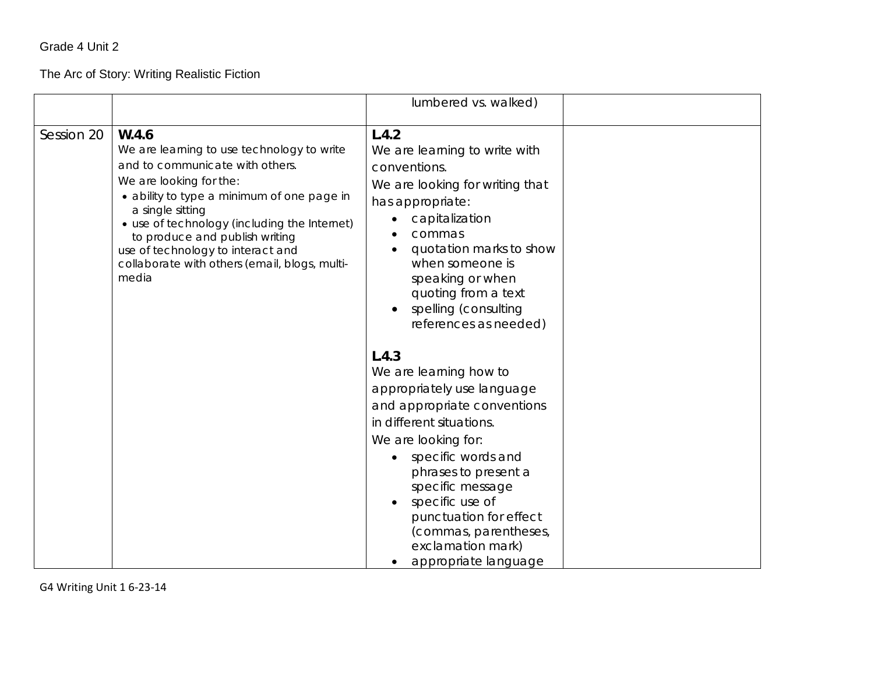#### The Arc of Story: Writing Realistic Fiction

|            |                                                                                                                                                                                                                                                                                                                                                                      | lumbered vs. walked)                                                                                                                                                                                                                                                                                                                                                                                                                                                                                                                                                                                |
|------------|----------------------------------------------------------------------------------------------------------------------------------------------------------------------------------------------------------------------------------------------------------------------------------------------------------------------------------------------------------------------|-----------------------------------------------------------------------------------------------------------------------------------------------------------------------------------------------------------------------------------------------------------------------------------------------------------------------------------------------------------------------------------------------------------------------------------------------------------------------------------------------------------------------------------------------------------------------------------------------------|
| Session 20 | W.4.6<br>We are learning to use technology to write<br>and to communicate with others.<br>We are looking for the:<br>• ability to type a minimum of one page in<br>a single sitting<br>• use of technology (including the Internet)<br>to produce and publish writing<br>use of technology to interact and<br>collaborate with others (email, blogs, multi-<br>media | L.4.2<br>We are learning to write with<br>conventions.<br>We are looking for writing that<br>has appropriate:<br>capitalization<br>commas<br>quotation marks to show<br>when someone is<br>speaking or when<br>quoting from a text<br>spelling (consulting<br>references as needed)<br>L.4.3<br>We are learning how to<br>appropriately use language<br>and appropriate conventions<br>in different situations.<br>We are looking for:<br>specific words and<br>phrases to present a<br>specific message<br>specific use of<br>punctuation for effect<br>(commas, parentheses,<br>exclamation mark) |
|            |                                                                                                                                                                                                                                                                                                                                                                      | appropriate language                                                                                                                                                                                                                                                                                                                                                                                                                                                                                                                                                                                |